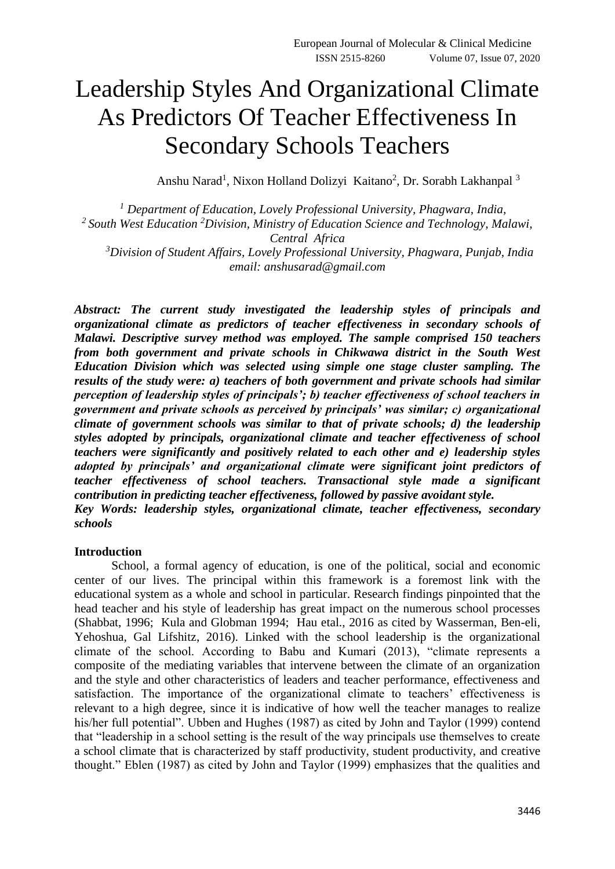# Leadership Styles And Organizational Climate As Predictors Of Teacher Effectiveness In Secondary Schools Teachers

Anshu Narad<sup>1</sup>, Nixon Holland Dolizyi Kaitano<sup>2</sup>, Dr. Sorabh Lakhanpal<sup>3</sup>

*<sup>1</sup> Department of Education, Lovely Professional University, Phagwara, India, <sup>2</sup>South West Education <sup>2</sup>Division, Ministry of Education Science and Technology, Malawi, Central Africa <sup>3</sup>Division of Student Affairs, Lovely Professional University, Phagwara, Punjab, India email: [anshusarad@gmail.com](mailto:anshusarad@gmail.com)*

*Abstract: The current study investigated the leadership styles of principals and organizational climate as predictors of teacher effectiveness in secondary schools of Malawi. Descriptive survey method was employed. The sample comprised 150 teachers from both government and private schools in Chikwawa district in the South West Education Division which was selected using simple one stage cluster sampling. The results of the study were: a) teachers of both government and private schools had similar perception of leadership styles of principals'; b) teacher effectiveness of school teachers in government and private schools as perceived by principals' was similar; c) organizational climate of government schools was similar to that of private schools; d) the leadership styles adopted by principals, organizational climate and teacher effectiveness of school teachers were significantly and positively related to each other and e) leadership styles adopted by principals' and organizational climate were significant joint predictors of teacher effectiveness of school teachers. Transactional style made a significant contribution in predicting teacher effectiveness, followed by passive avoidant style. Key Words: leadership styles, organizational climate, teacher effectiveness, secondary schools*

#### **Introduction**

School, a formal agency of education, is one of the political, social and economic center of our lives. The principal within this framework is a foremost link with the educational system as a whole and school in particular. Research findings pinpointed that the head teacher and his style of leadership has great impact on the numerous school processes (Shabbat, 1996; Kula and Globman 1994; Hau etal., 2016 as cited by Wasserman, Ben-eli, Yehoshua, Gal Lifshitz, 2016). Linked with the school leadership is the organizational climate of the school. According to Babu and Kumari (2013), "climate represents a composite of the mediating variables that intervene between the climate of an organization and the style and other characteristics of leaders and teacher performance, effectiveness and satisfaction. The importance of the organizational climate to teachers' effectiveness is relevant to a high degree, since it is indicative of how well the teacher manages to realize his/her full potential". Ubben and Hughes (1987) as cited by John and Taylor (1999) contend that "leadership in a school setting is the result of the way principals use themselves to create a school climate that is characterized by staff productivity, student productivity, and creative thought." Eblen (1987) as cited by John and Taylor (1999) emphasizes that the qualities and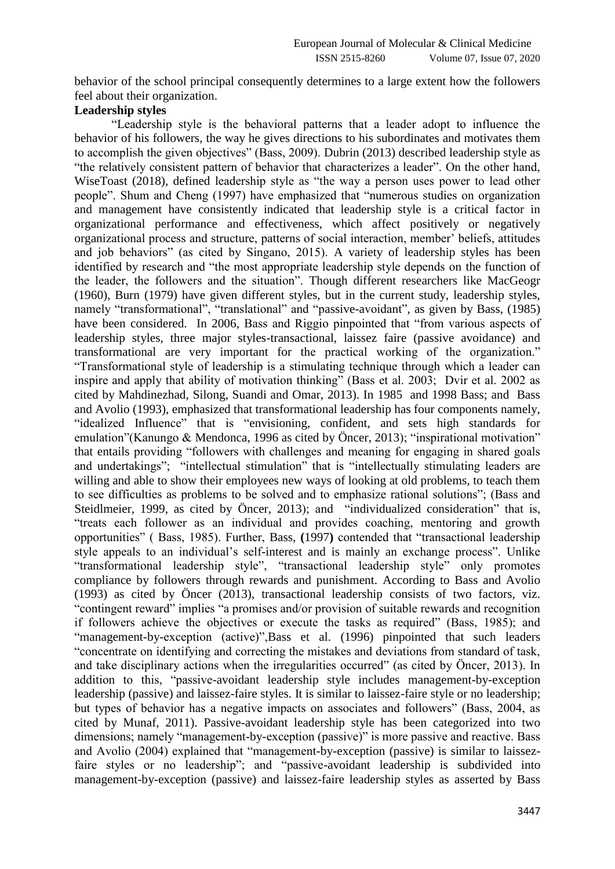behavior of the school principal consequently determines to a large extent how the followers feel about their organization.

## **Leadership styles**

"Leadership style is the behavioral patterns that a leader adopt to influence the behavior of his followers, the way he gives directions to his subordinates and motivates them to accomplish the given objectives" (Bass, 2009). Dubrin (2013) described leadership style as "the relatively consistent pattern of behavior that characterizes a leader". On the other hand, WiseToast (2018), defined leadership style as "the way a person uses power to lead other people". Shum and Cheng (1997) have emphasized that "numerous studies on organization and management have consistently indicated that leadership style is a critical factor in organizational performance and effectiveness, which affect positively or negatively organizational process and structure, patterns of social interaction, member' beliefs, attitudes and job behaviors" (as cited by Singano, 2015). A variety of leadership styles has been identified by research and "the most appropriate leadership style depends on the function of the leader, the followers and the situation". Though different researchers like MacGeogr (1960), Burn (1979) have given different styles, but in the current study, leadership styles, namely "transformational", "translational" and "passive-avoidant", as given by Bass, (1985) have been considered. In 2006, Bass and Riggio pinpointed that "from various aspects of leadership styles, three major styles-transactional, laissez faire (passive avoidance) and transformational are very important for the practical working of the organization." "Transformational style of leadership is a stimulating technique through which a leader can inspire and apply that ability of motivation thinking" (Bass et al. 2003; Dvir et al. 2002 as cited by Mahdinezhad, Silong, Suandi and Omar, 2013). In 1985 and 1998 Bass; and Bass and Avolio (1993), emphasized that transformational leadership has four components namely, "idealized Influence" that is "envisioning, confident, and sets high standards for emulation"(Kanungo & Mendonca, 1996 as cited by Öncer, 2013); "inspirational motivation" that entails providing "followers with challenges and meaning for engaging in shared goals and undertakings"; "intellectual stimulation" that is "intellectually stimulating leaders are willing and able to show their employees new ways of looking at old problems, to teach them to see difficulties as problems to be solved and to emphasize rational solutions"; (Bass and Steidlmeier, 1999, as cited by Öncer, 2013); and "individualized consideration" that is, "treats each follower as an individual and provides coaching, mentoring and growth opportunities" ( Bass, 1985). Further, Bass, **(**1997**)** contended that "transactional leadership style appeals to an individual's self-interest and is mainly an exchange process". Unlike "transformational leadership style", "transactional leadership style" only promotes compliance by followers through rewards and punishment. According to Bass and Avolio (1993) as cited by Öncer (2013), transactional leadership consists of two factors, viz. "contingent reward" implies "a promises and/or provision of suitable rewards and recognition if followers achieve the objectives or execute the tasks as required" (Bass, 1985); and "management-by-exception (active)",Bass et al. (1996) pinpointed that such leaders "concentrate on identifying and correcting the mistakes and deviations from standard of task, and take disciplinary actions when the irregularities occurred" (as cited by Öncer, 2013). In addition to this, "passive-avoidant leadership style includes management-by-exception leadership (passive) and laissez-faire styles. It is similar to laissez-faire style or no leadership; but types of behavior has a negative impacts on associates and followers" (Bass, 2004, as cited by Munaf, 2011). Passive-avoidant leadership style has been categorized into two dimensions; namely "management-by-exception (passive)" is more passive and reactive. Bass and Avolio (2004) explained that "management-by-exception (passive) is similar to laissezfaire styles or no leadership"; and "passive-avoidant leadership is subdivided into management-by-exception (passive) and laissez-faire leadership styles as asserted by Bass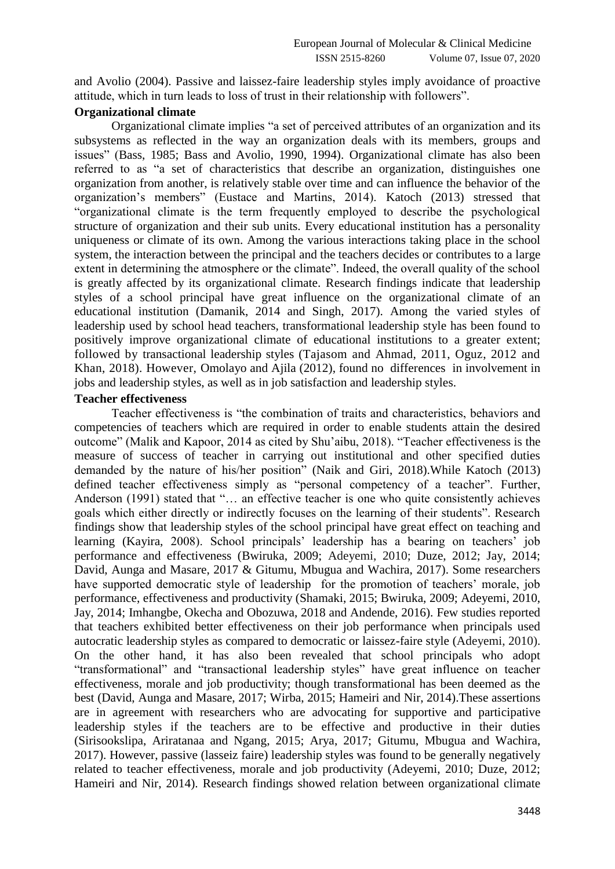and Avolio (2004). Passive and laissez-faire leadership styles imply avoidance of proactive attitude, which in turn leads to loss of trust in their relationship with followers".

#### **Organizational climate**

Organizational climate implies "a set of perceived attributes of an organization and its subsystems as reflected in the way an organization deals with its members, groups and issues" (Bass, 1985; Bass and Avolio, 1990, 1994). Organizational climate has also been referred to as "a set of characteristics that describe an organization, distinguishes one organization from another, is relatively stable over time and can influence the behavior of the organization's members" (Eustace and Martins, 2014). Katoch (2013) stressed that "organizational climate is the term frequently employed to describe the psychological structure of organization and their sub units. Every educational institution has a personality uniqueness or climate of its own. Among the various interactions taking place in the school system, the interaction between the principal and the teachers decides or contributes to a large extent in determining the atmosphere or the climate". Indeed, the overall quality of the school is greatly affected by its organizational climate. Research findings indicate that leadership styles of a school principal have great influence on the organizational climate of an educational institution (Damanik, 2014 and Singh, 2017). Among the varied styles of leadership used by school head teachers, transformational leadership style has been found to positively improve organizational climate of educational institutions to a greater extent; followed by transactional leadership styles [\(Tajasom](https://www.emeraldinsight.com/author/Tajasom%2C+Adel) and Ahmad, 2011, Oguz, 2012 and Khan, 2018). However, Omolayo and Ajila (2012), found no differences in involvement in jobs and leadership styles, as well as in job satisfaction and leadership styles.

#### **Teacher effectiveness**

Teacher effectiveness is "the combination of traits and characteristics, behaviors and competencies of teachers which are required in order to enable students attain the desired outcome" (Malik and Kapoor, 2014 as cited by Shu'aibu, 2018). "Teacher effectiveness is the measure of success of teacher in carrying out institutional and other specified duties demanded by the nature of his/her position" (Naik and Giri, 2018).While Katoch (2013) defined teacher effectiveness simply as "personal competency of a teacher". Further, Anderson (1991) stated that "… an effective teacher is one who quite consistently achieves goals which either directly or indirectly focuses on the learning of their students". Research findings show that leadership styles of the school principal have great effect on teaching and learning (Kayira, 2008). School principals' leadership has a bearing on teachers' job performance and effectiveness (Bwiruka, 2009; Adeyemi, 2010; Duze, 2012; Jay, 2014; David, Aunga and Masare, 2017 & Gitumu, Mbugua and Wachira, 2017). Some researchers have supported democratic style of leadership for the promotion of teachers' morale, job performance, effectiveness and productivity (Shamaki, 2015; Bwiruka, 2009; Adeyemi, 2010, Jay, 2014; [Imhangbe,](http://journals.sagepub.com/doi/abs/10.1177/1741143218764178) [Okecha](http://journals.sagepub.com/doi/abs/10.1177/1741143218764178) and [Obozuwa,](http://journals.sagepub.com/doi/abs/10.1177/1741143218764178) 2018 and Andende, 2016). Few studies reported that teachers exhibited better effectiveness on their job performance when principals used autocratic leadership styles as compared to democratic or laissez-faire style (Adeyemi, 2010). On the other hand, it has also been revealed that school principals who adopt "transformational" and "transactional leadership styles" have great influence on teacher effectiveness, morale and job productivity; though transformational has been deemed as the best (David, Aunga and Masare, 2017; Wirba, 2015; [Hameiri](https://www.researchgate.net/profile/Lior_Hameiri) and [Nir,](https://www.researchgate.net/profile/Adam_Nir2) 2014).These assertions are in agreement with researchers who are advocating for supportive and participative leadership styles if the teachers are to be effective and productive in their duties (Sirisookslipa, Ariratanaa and Ngang, 2015; Arya, 2017; Gitumu, Mbugua and Wachira, 2017). However, passive (lasseiz faire) leadership styles was found to be generally negatively related to teacher effectiveness, morale and job productivity (Adeyemi, 2010; Duze, 2012; [Hameiri](https://www.researchgate.net/profile/Lior_Hameiri) and [Nir,](https://www.researchgate.net/profile/Adam_Nir2) 2014). Research findings showed relation between organizational climate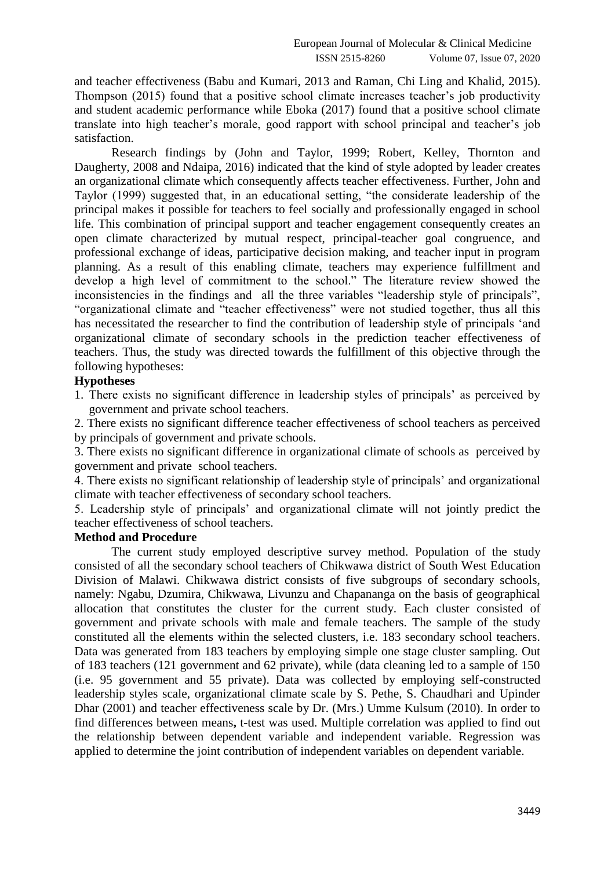and teacher effectiveness (Babu and Kumari, 2013 and Raman, Chi Ling and Khalid, 2015). Thompson (2015) found that a positive school climate increases teacher's job productivity and student academic performance while Eboka (2017) found that a positive school climate translate into high teacher's morale, good rapport with school principal and teacher's job satisfaction.

Research findings by (John and Taylor, 1999; Robert, Kelley, Thornton and Daugherty, 2008 and Ndaipa, 2016) indicated that the kind of style adopted by leader creates an organizational climate which consequently affects teacher effectiveness. Further, John and Taylor (1999) suggested that, in an educational setting, "the considerate leadership of the principal makes it possible for teachers to feel socially and professionally engaged in school life. This combination of principal support and teacher engagement consequently creates an open climate characterized by mutual respect, principal-teacher goal congruence, and professional exchange of ideas, participative decision making, and teacher input in program planning. As a result of this enabling climate, teachers may experience fulfillment and develop a high level of commitment to the school." The literature review showed the inconsistencies in the findings and all the three variables "leadership style of principals", "organizational climate and "teacher effectiveness" were not studied together, thus all this has necessitated the researcher to find the contribution of leadership style of principals 'and organizational climate of secondary schools in the prediction teacher effectiveness of teachers. Thus, the study was directed towards the fulfillment of this objective through the following hypotheses:

#### **Hypotheses**

1. There exists no significant difference in leadership styles of principals' as perceived by government and private school teachers.

2. There exists no significant difference teacher effectiveness of school teachers as perceived by principals of government and private schools.

3. There exists no significant difference in organizational climate of schools as perceived by government and private school teachers.

4. There exists no significant relationship of leadership style of principals' and organizational climate with teacher effectiveness of secondary school teachers.

5. Leadership style of principals' and organizational climate will not jointly predict the teacher effectiveness of school teachers.

## **Method and Procedure**

The current study employed descriptive survey method. Population of the study consisted of all the secondary school teachers of Chikwawa district of South West Education Division of Malawi. Chikwawa district consists of five subgroups of secondary schools, namely: Ngabu, Dzumira, Chikwawa, Livunzu and Chapananga on the basis of geographical allocation that constitutes the cluster for the current study. Each cluster consisted of government and private schools with male and female teachers. The sample of the study constituted all the elements within the selected clusters, i.e. 183 secondary school teachers. Data was generated from 183 teachers by employing simple one stage cluster sampling. Out of 183 teachers (121 government and 62 private), while (data cleaning led to a sample of 150 (i.e. 95 government and 55 private). Data was collected by employing self-constructed leadership styles scale, organizational climate scale by S. Pethe, S. Chaudhari and Upinder Dhar (2001) and teacher effectiveness scale by Dr. (Mrs.) Umme Kulsum (2010). In order to find differences between means**,** t-test was used. Multiple correlation was applied to find out the relationship between dependent variable and independent variable. Regression was applied to determine the joint contribution of independent variables on dependent variable.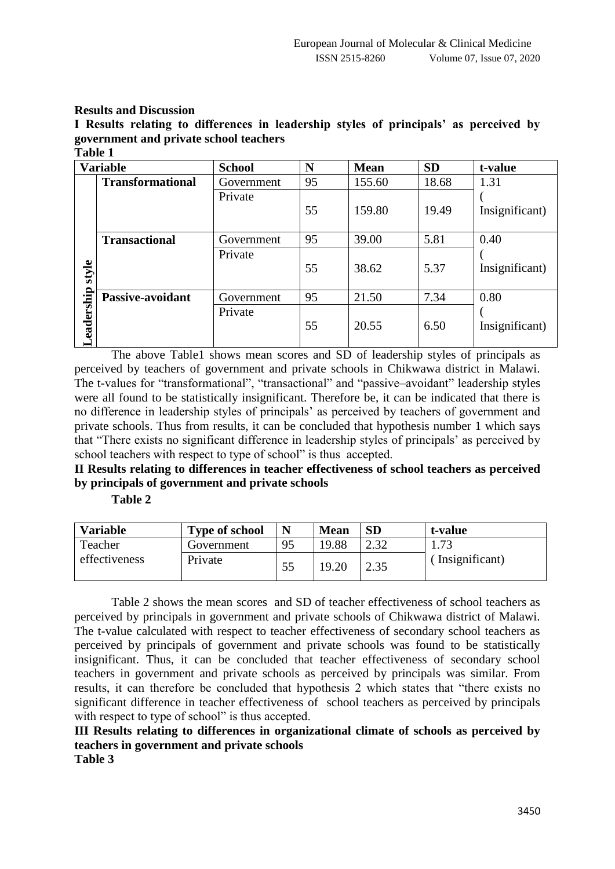#### **Results and Discussion**

**I Results relating to differences in leadership styles of principals' as perceived by government and private school teachers Table 1**

| . univ 1       |                         |               |    |             |           |                |
|----------------|-------------------------|---------------|----|-------------|-----------|----------------|
|                | <b>Variable</b>         | <b>School</b> | N  | <b>Mean</b> | <b>SD</b> | t-value        |
|                | <b>Transformational</b> | Government    | 95 | 155.60      | 18.68     | 1.31           |
|                |                         | Private       | 55 | 159.80      | 19.49     | Insignificant) |
|                |                         |               |    |             |           |                |
|                | <b>Transactional</b>    | Government    | 95 | 39.00       | 5.81      | 0.40           |
|                |                         | Private       |    |             |           |                |
| style          |                         |               | 55 | 38.62       | 5.37      | Insignificant) |
|                |                         |               |    |             |           |                |
|                | Passive-avoidant        | Government    | 95 | 21.50       | 7.34      | 0.80           |
|                |                         | Private       |    |             |           |                |
| eadership<br>— |                         |               | 55 | 20.55       | 6.50      | Insignificant) |
|                |                         |               |    |             |           |                |

The above Table1 shows mean scores and SD of leadership styles of principals as perceived by teachers of government and private schools in Chikwawa district in Malawi. The t-values for "transformational", "transactional" and "passive–avoidant" leadership styles were all found to be statistically insignificant. Therefore be, it can be indicated that there is no difference in leadership styles of principals' as perceived by teachers of government and private schools. Thus from results, it can be concluded that hypothesis number 1 which says that "There exists no significant difference in leadership styles of principals' as perceived by school teachers with respect to type of school" is thus accepted.

# **II Results relating to differences in teacher effectiveness of school teachers as perceived by principals of government and private schools**

**Table 2**

| <b>Variable</b> | <b>Type of school</b> | N  | <b>Mean</b> | <b>SD</b> | t-value         |
|-----------------|-----------------------|----|-------------|-----------|-----------------|
| Teacher         | Government            | 95 | 19.88       |           | 1.73            |
| effectiveness   | Private               |    | 19.20       | 2.35      | (Insignificant) |

Table 2 shows the mean scores and SD of teacher effectiveness of school teachers as perceived by principals in government and private schools of Chikwawa district of Malawi. The t-value calculated with respect to teacher effectiveness of secondary school teachers as perceived by principals of government and private schools was found to be statistically insignificant. Thus, it can be concluded that teacher effectiveness of secondary school teachers in government and private schools as perceived by principals was similar. From results, it can therefore be concluded that hypothesis 2 which states that "there exists no significant difference in teacher effectiveness of school teachers as perceived by principals with respect to type of school" is thus accepted.

**III Results relating to differences in organizational climate of schools as perceived by teachers in government and private schools Table 3**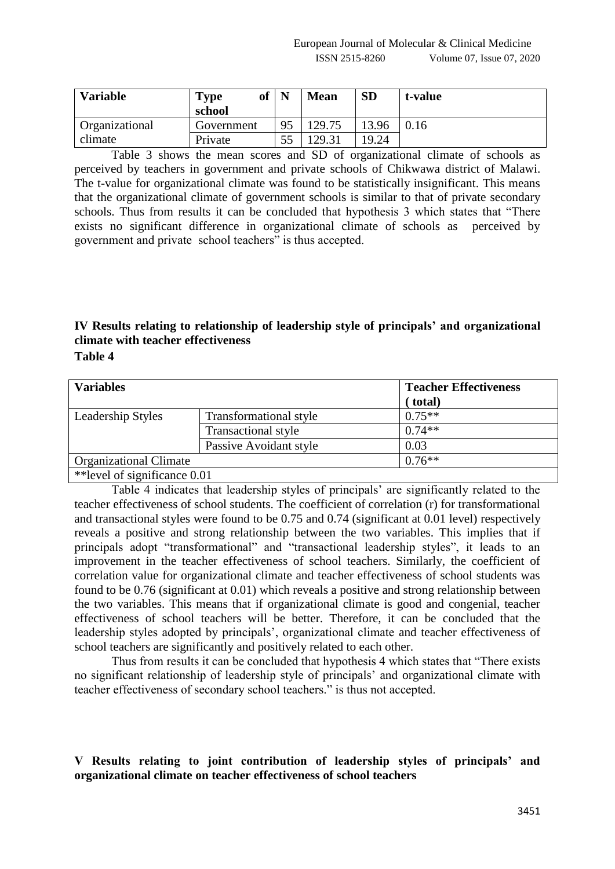| <b>Variable</b>       | of<br>Type<br>school | N  | <b>Mean</b> | <b>SD</b> | t-value |
|-----------------------|----------------------|----|-------------|-----------|---------|
| <b>Organizational</b> | Government           | 95 | 129.75      | 13.96     | 0.16    |
| climate               | Private              |    | 129.31      | 19.24     |         |

Table 3 shows the mean scores and SD of organizational climate of schools as perceived by teachers in government and private schools of Chikwawa district of Malawi. The t-value for organizational climate was found to be statistically insignificant. This means that the organizational climate of government schools is similar to that of private secondary schools. Thus from results it can be concluded that hypothesis 3 which states that "There exists no significant difference in organizational climate of schools as perceived by government and private school teachers" is thus accepted.

# **IV Results relating to relationship of leadership style of principals' and organizational climate with teacher effectiveness**

**Table 4**

| <b>Variables</b>              |                            | <b>Teacher Effectiveness</b> |
|-------------------------------|----------------------------|------------------------------|
|                               |                            | (total)                      |
| Leadership Styles             | Transformational style     | $0.75**$                     |
|                               | <b>Transactional style</b> | $0.74**$                     |
|                               | Passive Avoidant style     | 0.03                         |
| <b>Organizational Climate</b> |                            | $0.76***$                    |
| ** level of significance 0.01 |                            |                              |

Table 4 indicates that leadership styles of principals' are significantly related to the teacher effectiveness of school students. The coefficient of correlation (r) for transformational and transactional styles were found to be 0.75 and 0.74 (significant at 0.01 level) respectively reveals a positive and strong relationship between the two variables. This implies that if principals adopt "transformational" and "transactional leadership styles", it leads to an improvement in the teacher effectiveness of school teachers. Similarly, the coefficient of correlation value for organizational climate and teacher effectiveness of school students was found to be 0.76 (significant at 0.01) which reveals a positive and strong relationship between the two variables. This means that if organizational climate is good and congenial, teacher effectiveness of school teachers will be better. Therefore, it can be concluded that the leadership styles adopted by principals', organizational climate and teacher effectiveness of school teachers are significantly and positively related to each other.

Thus from results it can be concluded that hypothesis 4 which states that "There exists no significant relationship of leadership style of principals' and organizational climate with teacher effectiveness of secondary school teachers." is thus not accepted.

## **V Results relating to joint contribution of leadership styles of principals' and organizational climate on teacher effectiveness of school teachers**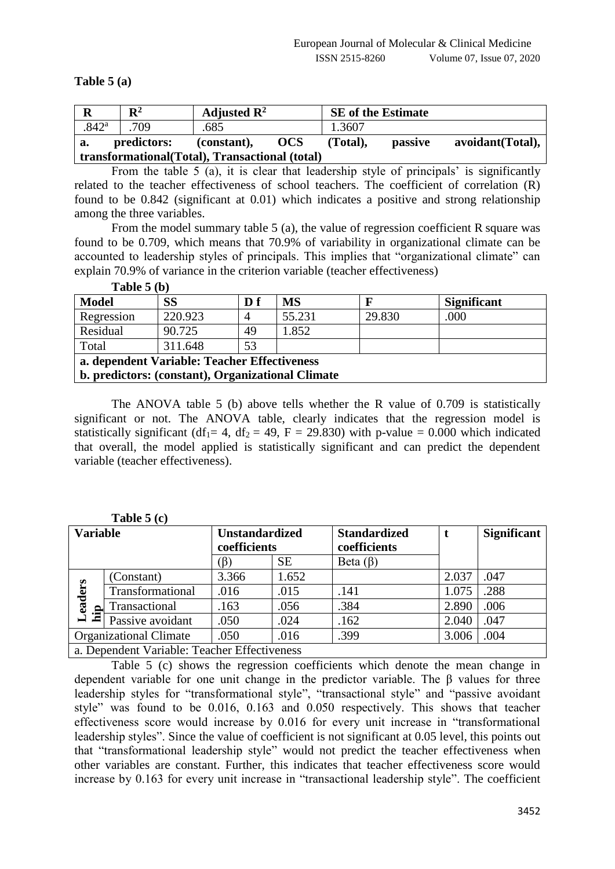#### **Table 5 (a)**

| $\mathbf R$         | $\mathbf{R}^2$ | Adjusted $\mathbb{R}^2$                         |            | <b>SE</b> of the Estimate |                |                  |
|---------------------|----------------|-------------------------------------------------|------------|---------------------------|----------------|------------------|
| $.842$ <sup>a</sup> | .709           | .685                                            |            | 1.3607                    |                |                  |
| a.                  | predictors:    | (constant),                                     | <b>OCS</b> | (Total).                  | <i>passive</i> | avoidant(Total), |
|                     |                | transformational (Total), Transactional (total) |            |                           |                |                  |

From the table 5 (a), it is clear that leadership style of principals' is significantly related to the teacher effectiveness of school teachers. The coefficient of correlation (R) found to be 0.842 (significant at 0.01) which indicates a positive and strong relationship among the three variables.

From the model summary table 5 (a), the value of regression coefficient R square was found to be 0.709, which means that 70.9% of variability in organizational climate can be accounted to leadership styles of principals. This implies that "organizational climate" can explain 70.9% of variance in the criterion variable (teacher effectiveness)

| <b>Model</b> | <b>SS</b>                                         | D f | <b>MS</b> |        | <b>Significant</b> |
|--------------|---------------------------------------------------|-----|-----------|--------|--------------------|
| Regression   | 220.923                                           |     | 55.231    | 29.830 | .000               |
| Residual     | 90.725                                            | 49  | 1.852     |        |                    |
| Total        | 311.648                                           | 53  |           |        |                    |
|              | a. dependent Variable: Teacher Effectiveness      |     |           |        |                    |
|              | b. predictors: (constant), Organizational Climate |     |           |        |                    |

**Table 5 (b)**

The ANOVA table 5 (b) above tells whether the R value of 0.709 is statistically significant or not. The ANOVA table, clearly indicates that the regression model is statistically significant (df<sub>1</sub>= 4, df<sub>2</sub> = 49, F = 29.830) with p-value = 0.000 which indicated that overall, the model applied is statistically significant and can predict the dependent variable (teacher effectiveness).

| <b>Variable</b>    |                                              | <b>Unstandardized</b><br>coefficients |           | <b>Standardized</b><br>coefficients |       | <b>Significant</b> |
|--------------------|----------------------------------------------|---------------------------------------|-----------|-------------------------------------|-------|--------------------|
|                    |                                              | $(\beta)$                             | <b>SE</b> | Beta $(\beta)$                      |       |                    |
|                    | (Constant)                                   | 3.366                                 | 1.652     |                                     | 2.037 | .047               |
| eaders             | Transformational                             | .016                                  | .015      | .141                                | 1.075 | .288               |
| Lea<br>hi <u>p</u> | Transactional                                | .163                                  | .056      | .384                                | 2.890 | .006               |
|                    | Passive avoidant                             | .050                                  | .024      | .162                                | 2.040 | .047               |
|                    | <b>Organizational Climate</b>                | .050                                  | .016      | .399                                | 3.006 | .004               |
|                    | a. Dependent Variable: Teacher Effectiveness |                                       |           |                                     |       |                    |

| $\Delta$ able 5 (c) |
|---------------------|
|---------------------|

Table 5 (c) shows the regression coefficients which denote the mean change in dependent variable for one unit change in the predictor variable. The β values for three leadership styles for "transformational style", "transactional style" and "passive avoidant style" was found to be 0.016, 0.163 and 0.050 respectively. This shows that teacher effectiveness score would increase by 0.016 for every unit increase in "transformational leadership styles". Since the value of coefficient is not significant at 0.05 level, this points out that "transformational leadership style" would not predict the teacher effectiveness when other variables are constant. Further, this indicates that teacher effectiveness score would increase by 0.163 for every unit increase in "transactional leadership style". The coefficient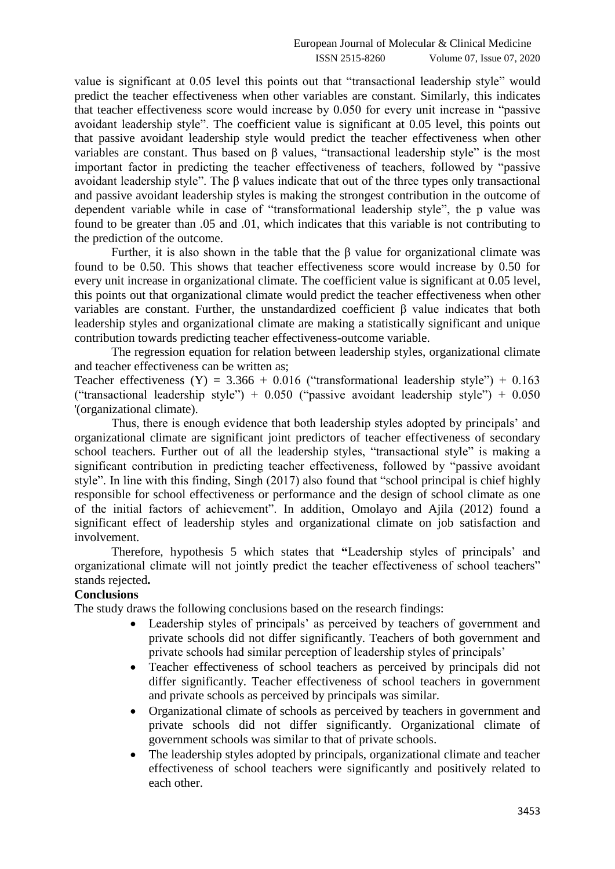value is significant at 0.05 level this points out that "transactional leadership style" would predict the teacher effectiveness when other variables are constant. Similarly, this indicates that teacher effectiveness score would increase by 0.050 for every unit increase in "passive avoidant leadership style". The coefficient value is significant at 0.05 level, this points out that passive avoidant leadership style would predict the teacher effectiveness when other variables are constant. Thus based on β values, "transactional leadership style" is the most important factor in predicting the teacher effectiveness of teachers, followed by "passive avoidant leadership style". The β values indicate that out of the three types only transactional and passive avoidant leadership styles is making the strongest contribution in the outcome of dependent variable while in case of "transformational leadership style", the p value was found to be greater than .05 and .01, which indicates that this variable is not contributing to the prediction of the outcome.

Further, it is also shown in the table that the β value for organizational climate was found to be 0.50. This shows that teacher effectiveness score would increase by 0.50 for every unit increase in organizational climate. The coefficient value is significant at 0.05 level, this points out that organizational climate would predict the teacher effectiveness when other variables are constant. Further, the unstandardized coefficient β value indicates that both leadership styles and organizational climate are making a statistically significant and unique contribution towards predicting teacher effectiveness-outcome variable.

The regression equation for relation between leadership styles, organizational climate and teacher effectiveness can be written as;

Teacher effectiveness (Y) =  $3.366 + 0.016$  ("transformational leadership style") +  $0.163$ ("transactional leadership style") +  $0.050$  ("passive avoidant leadership style") +  $0.050$ '(organizational climate).

Thus, there is enough evidence that both leadership styles adopted by principals' and organizational climate are significant joint predictors of teacher effectiveness of secondary school teachers. Further out of all the leadership styles, "transactional style" is making a significant contribution in predicting teacher effectiveness, followed by "passive avoidant style". In line with this finding, Singh (2017) also found that "school principal is chief highly responsible for school effectiveness or performance and the design of school climate as one of the initial factors of achievement". In addition, Omolayo and Ajila (2012) found a significant effect of leadership styles and organizational climate on job satisfaction and involvement.

Therefore, hypothesis 5 which states that **"**Leadership styles of principals' and organizational climate will not jointly predict the teacher effectiveness of school teachers" stands rejected**.**

#### **Conclusions**

The study draws the following conclusions based on the research findings:

- Leadership styles of principals' as perceived by teachers of government and private schools did not differ significantly. Teachers of both government and private schools had similar perception of leadership styles of principals'
- Teacher effectiveness of school teachers as perceived by principals did not differ significantly. Teacher effectiveness of school teachers in government and private schools as perceived by principals was similar.
- Organizational climate of schools as perceived by teachers in government and private schools did not differ significantly. Organizational climate of government schools was similar to that of private schools.
- The leadership styles adopted by principals, organizational climate and teacher effectiveness of school teachers were significantly and positively related to each other.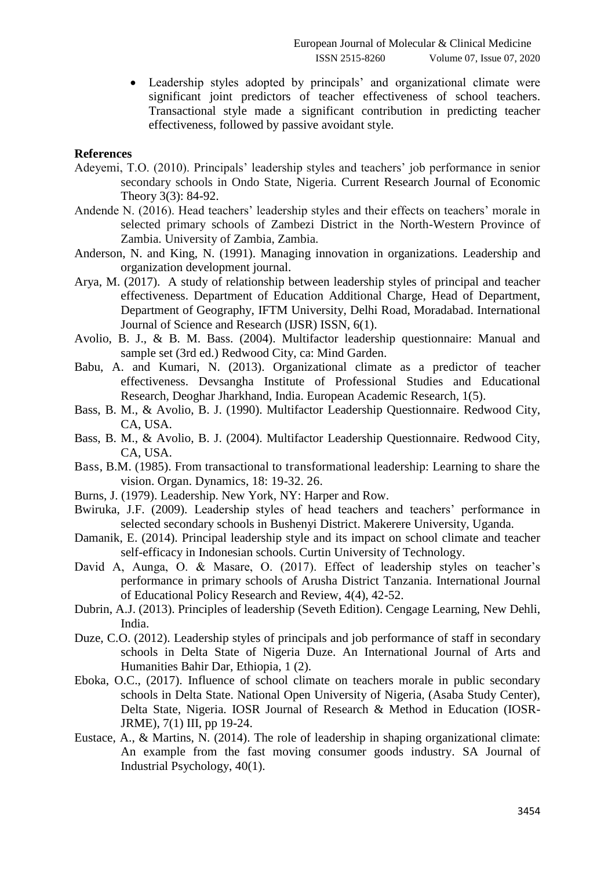Leadership styles adopted by principals' and organizational climate were significant joint predictors of teacher effectiveness of school teachers. Transactional style made a significant contribution in predicting teacher effectiveness, followed by passive avoidant style.

#### **References**

- Adeyemi, T.O. (2010). Principals' leadership styles and teachers' job performance in senior secondary schools in Ondo State, Nigeria. Current Research Journal of Economic Theory 3(3): 84-92.
- Andende N. (2016). Head teachers' leadership styles and their effects on teachers' morale in selected primary schools of Zambezi District in the North-Western Province of Zambia. University of Zambia, Zambia.
- Anderson, N. and [King,](https://www.emerald.com/insight/search?q=Nigel%20King) N. (1991). Managing innovation in organizations. [Leadership and](https://www.emerald.com/insight/publication/issn/0143-7739)  organization [development journal.](https://www.emerald.com/insight/publication/issn/0143-7739)
- Arya, M. (2017). A study of relationship between leadership styles of principal and teacher effectiveness. Department of Education Additional Charge, Head of Department, Department of Geography, IFTM University, Delhi Road, Moradabad. International Journal of Science and Research (IJSR) ISSN, 6(1).
- Avolio, B. J., & B. M. Bass. (2004). Multifactor leadership questionnaire: Manual and sample set (3rd ed.) Redwood City, ca: Mind Garden.
- Babu, A. and Kumari, N. (2013). Organizational climate as a predictor of teacher effectiveness. Devsangha Institute of Professional Studies and Educational Research, Deoghar Jharkhand, India. European Academic Research, 1(5).
- Bass, B. M., & Avolio, B. J. (1990). Multifactor Leadership Questionnaire. Redwood City, CA, USA.
- Bass, B. M., & Avolio, B. J. (2004). Multifactor Leadership Questionnaire. Redwood City, CA, USA.
- Bass, B.M. (1985). From transactional to transformational leadership: Learning to share the vision. Organ. Dynamics, 18: 19-32. 26.
- Burns, J. (1979). Leadership. New York, NY: Harper and Row.
- Bwiruka, J.F. (2009). Leadership styles of head teachers and teachers' performance in selected secondary schools in Bushenyi District. Makerere University, Uganda.
- Damanik, E. (2014). Principal leadership style and its impact on school climate and teacher self-efficacy in Indonesian schools. Curtin University of Technology.
- David A, Aunga, O. & Masare, O. (2017). Effect of leadership styles on teacher's performance in primary schools of Arusha District Tanzania. International Journal of Educational Policy Research and Review, 4(4), 42-52.
- Dubrin, A.J. (2013). Principles of leadership (Seveth Edition). Cengage Learning, New Dehli, India.
- Duze, C.O. (2012). Leadership styles of principals and job performance of staff in secondary schools in Delta State of Nigeria Duze. An International Journal of Arts and Humanities Bahir Dar, Ethiopia, 1 (2).
- Eboka, O.C., (2017). Influence of school climate on teachers morale in public secondary schools in Delta State. National Open University of Nigeria, (Asaba Study Center), Delta State, Nigeria. IOSR Journal of Research & Method in Education (IOSR-JRME), 7(1) III, pp 19-24.
- Eustace, A., & Martins, N. (2014). The role of leadership in shaping organizational climate: An example from the fast moving consumer goods industry. SA Journal of Industrial Psychology, 40(1).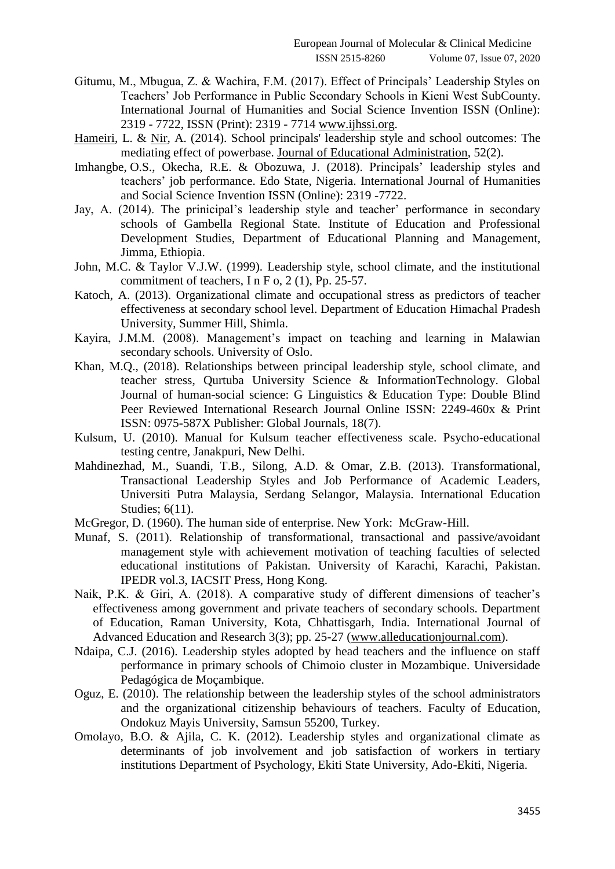- Gitumu, M., Mbugua, Z. & Wachira, F.M. (2017). Effect of Principals' Leadership Styles on Teachers' Job Performance in Public Secondary Schools in Kieni West SubCounty. International Journal of Humanities and Social Science Invention ISSN (Online): 2319 - 7722, ISSN (Print): 2319 - 7714 [www.ijhssi.org.](http://www.ijhssi.org/)
- [Hameiri,](https://www.researchgate.net/profile/Lior_Hameiri) L. & [Nir,](https://www.researchgate.net/profile/Adam_Nir2) A. (2014). School principals' leadership style and school outcomes: The mediating effect of powerbase. [Journal of Educational Administration,](https://www.researchgate.net/journal/0957-8234_Journal_of_Educational_Administration) 52(2).
- [Imhangbe,](http://journals.sagepub.com/doi/abs/10.1177/1741143218764178) O.S., [Okecha,](http://journals.sagepub.com/doi/abs/10.1177/1741143218764178) R.E. & [Obozuwa,](http://journals.sagepub.com/doi/abs/10.1177/1741143218764178) J. (2018). Principals' leadership styles and teachers' job performance. Edo State, Nigeria. International Journal of Humanities and Social Science Invention ISSN (Online): 2319 -7722.
- Jay, A. (2014). The prinicipal's leadership style and teacher' performance in secondary schools of Gambella Regional State. Institute of Education and Professional Development Studies, Department of Educational Planning and Management, Jimma, Ethiopia.
- John, M.C. & Taylor V.J.W. (1999). Leadership style, school climate, and the institutional commitment of teachers, I n F o, 2 (1), Pp. 25-57.
- Katoch, A. (2013). Organizational climate and occupational stress as predictors of teacher effectiveness at secondary school level. Department of Education Himachal Pradesh University, Summer Hill, Shimla.
- Kayira, J.M.M. (2008). Management's impact on teaching and learning in Malawian secondary schools. University of Oslo.
- Khan, M.Q., (2018). Relationships between principal leadership style, school climate, and teacher stress, Qurtuba University Science & InformationTechnology. Global Journal of human-social science: G Linguistics & Education Type: Double Blind Peer Reviewed International Research Journal Online ISSN: 2249-460x & Print ISSN: 0975-587X Publisher: Global Journals, 18(7).
- Kulsum, U. (2010). Manual for Kulsum teacher effectiveness scale. Psycho-educational testing centre, Janakpuri, New Delhi.
- Mahdinezhad, M., Suandi, T.B., Silong, A.D. & Omar, Z.B. (2013). Transformational, Transactional Leadership Styles and Job Performance of Academic Leaders, Universiti Putra Malaysia, Serdang Selangor, Malaysia. International Education Studies; 6(11).
- McGregor, D. (1960). The human side of enterprise. New York: McGraw-Hill.
- Munaf, S. (2011). Relationship of transformational, transactional and passive/avoidant management style with achievement motivation of teaching faculties of selected educational institutions of Pakistan. University of Karachi, Karachi, Pakistan. IPEDR vol.3, IACSIT Press, Hong Kong.
- Naik, P.K. & Giri, A. (2018). A comparative study of different dimensions of teacher's effectiveness among government and private teachers of secondary schools. Department of Education, Raman University, Kota, Chhattisgarh, India. International Journal of Advanced Education and Research 3(3); pp. 25-27 [\(www.alleducationjournal.com\)](http://www.alleducationjournal.com/).
- Ndaipa, C.J. (2016). Leadership styles adopted by head teachers and the influence on staff performance in primary schools of Chimoio cluster in Mozambique. Universidade Pedagógica de Moçambique.
- Oguz, E. (2010). The relationship between the leadership styles of the school administrators and the organizational citizenship behaviours of teachers. Faculty of Education, Ondokuz Mayis University, Samsun 55200, Turkey.
- Omolayo, B.O. & Ajila, C. K. (2012). Leadership styles and organizational climate as determinants of job involvement and job satisfaction of workers in tertiary institutions Department of Psychology, Ekiti State University, Ado-Ekiti, Nigeria.